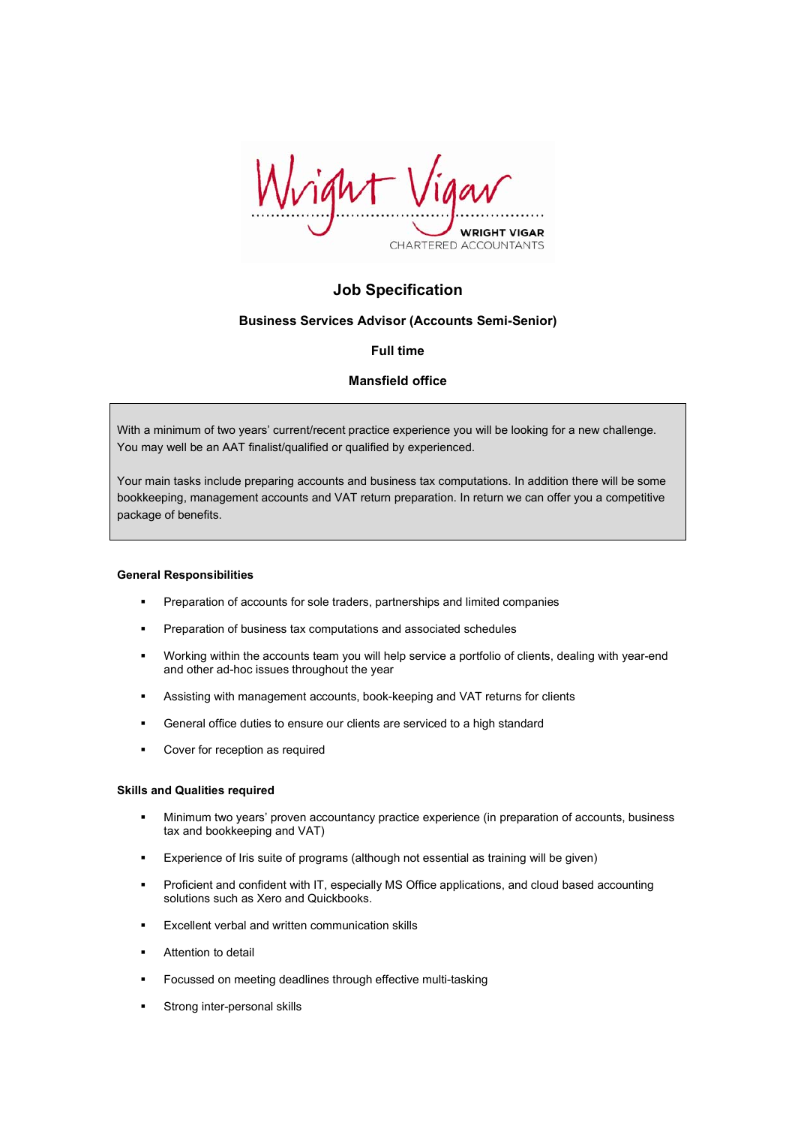

# **Job Specification**

# **Business Services Advisor (Accounts Semi-Senior)**

# **Full time**

# **Mansfield office**

With a minimum of two years' current/recent practice experience you will be looking for a new challenge. You may well be an AAT finalist/qualified or qualified by experienced.

Your main tasks include preparing accounts and business tax computations. In addition there will be some bookkeeping, management accounts and VAT return preparation. In return we can offer you a competitive package of benefits.

#### **General Responsibilities**

- **Preparation of accounts for sole traders, partnerships and limited companies**
- **Preparation of business tax computations and associated schedules**
- Working within the accounts team you will help service a portfolio of clients, dealing with year-end and other ad-hoc issues throughout the year
- Assisting with management accounts, book-keeping and VAT returns for clients
- General office duties to ensure our clients are serviced to a high standard
- **•** Cover for reception as required

#### **Skills and Qualities required**

- Minimum two years' proven accountancy practice experience (in preparation of accounts, business tax and bookkeeping and VAT)
- Experience of Iris suite of programs (although not essential as training will be given)
- Proficient and confident with IT, especially MS Office applications, and cloud based accounting solutions such as Xero and Quickbooks.
- **Excellent verbal and written communication skills**
- **Attention to detail**
- Focussed on meeting deadlines through effective multi-tasking
- Strong inter-personal skills